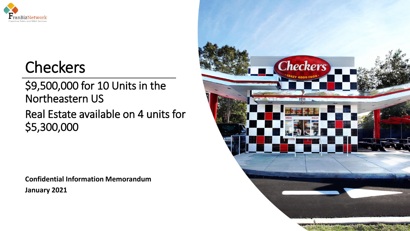

# **Checkers**

## \$9,500,000 for 10 Units in the Northeastern US

## Real Estate available on 4 units for \$5,300,000

**Confidential Information Memorandum January 2021**

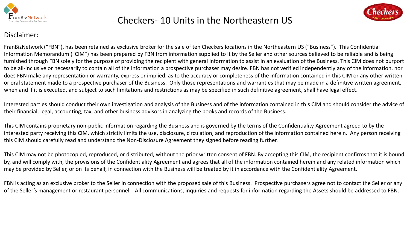



#### Disclaimer:

FranBizNetwork ("FBN"), has been retained as exclusive broker for the sale of ten Checkers locations in the Northeastern US ("Business"). This Confidential Information Memorandum ("CIM") has been prepared by FBN from information supplied to it by the Seller and other sources believed to be reliable and is being furnished through FBN solely for the purpose of providing the recipient with general information to assist in an evaluation of the Business. This CIM does not purport to be all-inclusive or necessarily to contain all of the information a prospective purchaser may desire. FBN has not verified independently any of the information, nor does FBN make any representation or warranty, express or implied, as to the accuracy or completeness of the information contained in this CIM or any other written or oral statement made to a prospective purchaser of the Business. Only those representations and warranties that may be made in a definitive written agreement, when and if it is executed, and subject to such limitations and restrictions as may be specified in such definitive agreement, shall have legal effect.

Interested parties should conduct their own investigation and analysis of the Business and of the information contained in this CIM and should consider the advice of their financial, legal, accounting, tax, and other business advisors in analyzing the books and records of the Business.

This CIM contains proprietary non-public information regarding the Business and is governed by the terms of the Confidentiality Agreement agreed to by the interested party receiving this CIM, which strictly limits the use, disclosure, circulation, and reproduction of the information contained herein. Any person receiving this CIM should carefully read and understand the Non-Disclosure Agreement they signed before reading further.

This CIM may not be photocopied, reproduced, or distributed, without the prior written consent of FBN. By accepting this CIM, the recipient confirms that it is bound by, and will comply with, the provisions of the Confidentiality Agreement and agrees that all of the information contained herein and any related information which may be provided by Seller, or on its behalf, in connection with the Business will be treated by it in accordance with the Confidentiality Agreement.

FBN is acting as an exclusive broker to the Seller in connection with the proposed sale of this Business. Prospective purchasers agree not to contact the Seller or any of the Seller's management or restaurant personnel. All communications, inquiries and requests for information regarding the Assets should be addressed to FBN.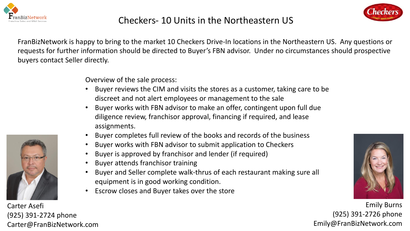



FranBizNetwork is happy to bring to the market 10 Checkers Drive-In locations in the Northeastern US. Any questions or requests for further information should be directed to Buyer's FBN advisor. Under no circumstances should prospective buyers contact Seller directly.

Overview of the sale process:

- Buyer reviews the CIM and visits the stores as a customer, taking care to be discreet and not alert employees or management to the sale
- Buyer works with FBN advisor to make an offer, contingent upon full due diligence review, franchisor approval, financing if required, and lease assignments.
- Buyer completes full review of the books and records of the business
- Buyer works with FBN advisor to submit application to Checkers
- Buyer is approved by franchisor and lender (if required)
- Buyer attends franchisor training
- Buyer and Seller complete walk-thrus of each restaurant making sure all equipment is in good working condition.
- Escrow closes and Buyer takes over the store



Emily Burns (925) 391-2726 phone Emily@FranBizNetwork.com



Carter Asefi (925) 391-2724 phone Carter@FranBizNetwork.com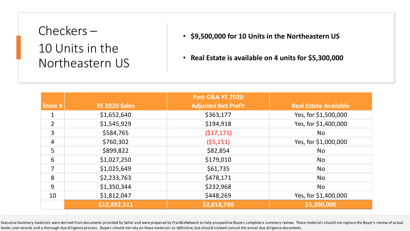- **\$9,500,000 for 10 Units in the Northeastern US**
- **Real Estate is available on 4 units for \$5,300,000**

|                |                      | <b>Post G&amp;A YE 2020</b> |                              |
|----------------|----------------------|-----------------------------|------------------------------|
| Store #        | <b>YE 2020 Sales</b> | <b>Adjusted Net Profit</b>  | <b>Real Estate Available</b> |
| 1              | \$1,652,640          | \$363,177                   | Yes, for \$1,500,000         |
| $\overline{2}$ | \$1,545,929          | \$194,918                   | Yes, for \$1,400,000         |
| 3              | \$584,765            | (517, 171)                  | <b>No</b>                    |
| $\overline{4}$ | \$760,302            | (55, 151)                   | Yes, for \$1,000,000         |
| 5              | \$899,822            | \$82,854                    | <b>No</b>                    |
| 6              | \$1,027,250          | \$179,010                   | <b>No</b>                    |
| $\overline{7}$ | \$1,025,649          | \$61,735                    | <b>No</b>                    |
| 8              | \$2,233,763          | \$478,171                   | <b>No</b>                    |
| 9              | \$1,350,344          | \$232,968                   | <b>No</b>                    |
| 10             | \$1,812,047          | \$448,269                   | Yes, for \$1,400,000         |
|                | \$12,892,511         | \$2,018,780                 | \$5,300,000                  |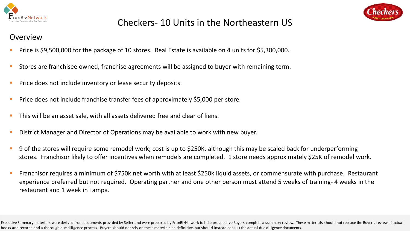



#### **Overview**

- Price is \$9,500,000 for the package of 10 stores. Real Estate is available on 4 units for \$5,300,000.
- Stores are franchisee owned, franchise agreements will be assigned to buyer with remaining term.
- Price does not include inventory or lease security deposits.
- Price does not include franchise transfer fees of approximately \$5,000 per store.
- This will be an asset sale, with all assets delivered free and clear of liens.
- District Manager and Director of Operations may be available to work with new buyer.
- 9 of the stores will require some remodel work; cost is up to \$250K, although this may be scaled back for underperforming stores. Franchisor likely to offer incentives when remodels are completed. 1 store needs approximately \$25K of remodel work.
- Franchisor requires a minimum of \$750k net worth with at least \$250k liquid assets, or commensurate with purchase. Restaurant experience preferred but not required. Operating partner and one other person must attend 5 weeks of training- 4 weeks in the restaurant and 1 week in Tampa.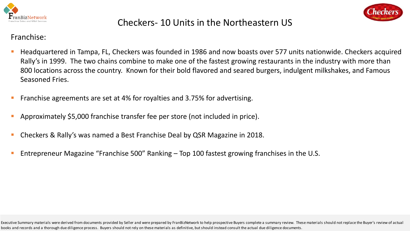



#### Franchise:

- Headquartered in Tampa, FL, Checkers was founded in 1986 and now boasts over 577 units nationwide. Checkers acquired Rally's in 1999. The two chains combine to make one of the fastest growing restaurants in the industry with more than 800 locations across the country. Known for their bold flavored and seared burgers, indulgent milkshakes, and Famous Seasoned Fries.
- Eranchise agreements are set at 4% for royalties and 3.75% for advertising.
- Approximately \$5,000 franchise transfer fee per store (not included in price).
- Checkers & Rally's was named a Best Franchise Deal by QSR Magazine in 2018.
- Entrepreneur Magazine "Franchise 500" Ranking  $-$  Top 100 fastest growing franchises in the U.S.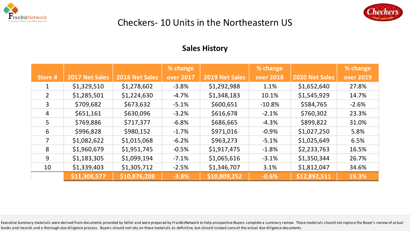



#### **Sales History**

|                |                |                | % change         |                | % change         |                | % change         |
|----------------|----------------|----------------|------------------|----------------|------------------|----------------|------------------|
| Store #        | 2017 Net Sales | 2018 Net Sales | <b>over 2017</b> | 2019 Net Sales | <b>over 2018</b> | 2020 Net Sales | <b>over 2019</b> |
|                | \$1,329,510    | \$1,278,602    | $-3.8%$          | \$1,292,988    | 1.1%             | \$1,652,640    | 27.8%            |
| $\overline{2}$ | \$1,285,501    | \$1,224,630    | $-4.7%$          | \$1,348,183    | 10.1%            | \$1,545,929    | 14.7%            |
| 3              | \$709,682      | \$673,632      | $-5.1%$          | \$600,651      | $-10.8\%$        | \$584,765      | $-2.6%$          |
| 4              | \$651,161      | \$630,096      | $-3.2%$          | \$616,678      | $-2.1%$          | \$760,302      | 23.3%            |
| 5              | \$769,886      | \$717,377      | $-6.8%$          | \$686,665      | $-4.3%$          | \$899,822      | 31.0%            |
| 6              | \$996,828      | \$980,152      | $-1.7%$          | \$971,016      | $-0.9%$          | \$1,027,250    | 5.8%             |
| 7              | \$1,082,622    | \$1,015,068    | $-6.2%$          | \$963,273      | $-5.1%$          | \$1,025,649    | 6.5%             |
| 8              | \$1,960,679    | \$1,951,745    | $-0.5%$          | \$1,917,475    | $-1.8%$          | \$2,233,763    | 16.5%            |
| 9              | \$1,183,305    | \$1,099,194    | $-7.1%$          | \$1,065,616    | $-3.1%$          | \$1,350,344    | 26.7%            |
| 10             | \$1,339,403    | \$1,305,712    | $-2.5%$          | \$1,346,707    | 3.1%             | \$1,812,047    | 34.6%            |
|                | \$11,308,577   | \$10,876,208   | $-3.8%$          | \$10,809,252   | $-0.6%$          | \$12,892,511   | 19.3%            |
|                |                |                |                  |                |                  |                |                  |